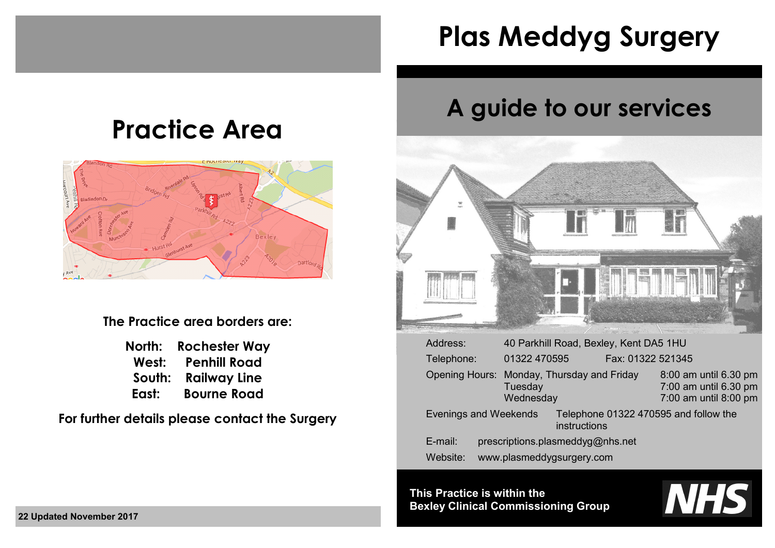# **Plas Meddyg Surgery**

## **Practice Area**



**The Practice area borders are:**

| North: | <b>Rochester Way</b> |
|--------|----------------------|
| West:  | <b>Penhill Road</b>  |
| South: | <b>Railway Line</b>  |
| East:  | <b>Bourne Road</b>   |

**For further details please contact the Surgery**

## **A guide to our services**



| Address:                     | 40 Parkhill Road, Bexley, Kent DA5 1HU                             |                   |                                                                         |
|------------------------------|--------------------------------------------------------------------|-------------------|-------------------------------------------------------------------------|
| Telephone:                   | 01322 470595                                                       | Fax: 01322 521345 |                                                                         |
|                              | Opening Hours: Monday, Thursday and Friday<br>Tuesday<br>Wednesday |                   | 8:00 am until 6.30 pm<br>7:00 am until 6.30 pm<br>7:00 am until 8:00 pm |
| <b>Evenings and Weekends</b> | instructions                                                       |                   | Telephone 01322 470595 and follow the                                   |
| E-mail:                      | prescriptions.plasmeddyg@nhs.net                                   |                   |                                                                         |
| Website:                     | www.plasmeddygsurgery.com                                          |                   |                                                                         |

**This Practice is within the Bexley Clinical Commissioning Group**

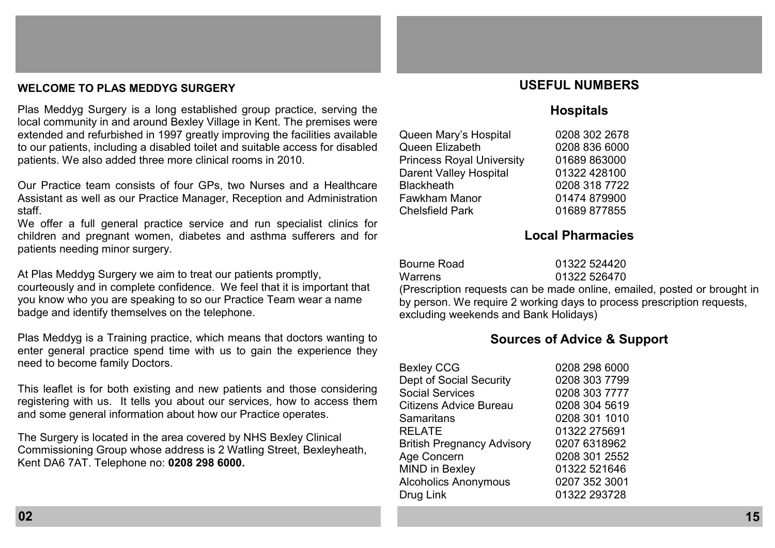## **WELCOME TO PLAS MEDDYG SURGERY**

Plas Meddyg Surgery is a long established group practice, serving the local community in and around Bexley Village in Kent. The premises were extended and refurbished in 1997 greatly improving the facilities available to our patients, including a disabled toilet and suitable access for disabled patients. We also added three more clinical rooms in 2010.

Our Practice team consists of four GPs, two Nurses and a Healthcare Assistant as well as our Practice Manager, Reception and Administration staff.

We offer a full general practice service and run specialist clinics for children and pregnant women, diabetes and asthma sufferers and for patients needing minor surgery.

At Plas Meddyg Surgery we aim to treat our patients promptly, courteously and in complete confidence. We feel that it is important that you know who you are speaking to so our Practice Team wear a name badge and identify themselves on the telephone.

Plas Meddyg is a Training practice, which means that doctors wanting to enter general practice spend time with us to gain the experience they need to become family Doctors.

This leaflet is for both existing and new patients and those considering registering with us. It tells you about our services, how to access them and some general information about how our Practice operates.

The Surgery is located in the area covered by NHS Bexley Clinical Commissioning Group whose address is 2 Watling Street, Bexleyheath, Kent DA6 7AT. Telephone no: **0208 298 6000.**

## **USEFUL NUMBERS**

## **Hospitals**

| Queen Mary's Hospital            | 0208 302 2678 |
|----------------------------------|---------------|
| Queen Elizabeth                  | 0208 836 6000 |
| <b>Princess Royal University</b> | 01689863000   |
| Darent Valley Hospital           | 01322 428100  |
| <b>Blackheath</b>                | 0208 318 7722 |
| Fawkham Manor                    | 01474 879900  |
| <b>Chelsfield Park</b>           | 01689 877855  |
|                                  |               |

## **Local Pharmacies**

| Bourne Road | 01322 524420                                 |
|-------------|----------------------------------------------|
| Warrens     | 01322 526470                                 |
|             | (Procerintian requests can be made online on |

(Prescription requests can be made online, emailed, posted or brought in by person. We require 2 working days to process prescription requests, excluding weekends and Bank Holidays)

## **Sources of Advice & Support**

| <b>Bexley CCG</b>                 | 0208 298 6000 |
|-----------------------------------|---------------|
| Dept of Social Security           | 0208 303 7799 |
| <b>Social Services</b>            | 0208 303 7777 |
| Citizens Advice Bureau            | 0208 304 5619 |
| Samaritans                        | 0208 301 1010 |
| RELATE                            | 01322 275691  |
| <b>British Pregnancy Advisory</b> | 0207 6318962  |
| Age Concern                       | 0208 301 2552 |
| <b>MIND in Bexley</b>             | 01322 521646  |
| <b>Alcoholics Anonymous</b>       | 0207 352 3001 |
| Drug Link                         | 01322 293728  |
|                                   |               |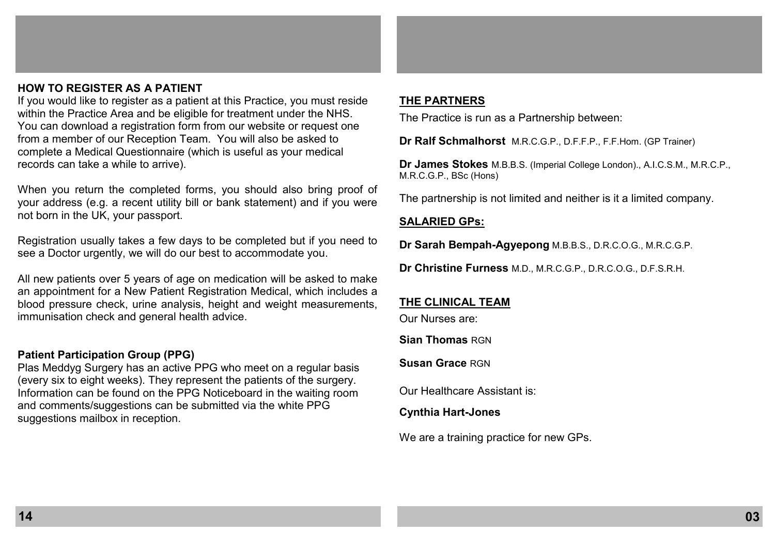## **HOW TO REGISTER AS A PATIENT**

If you would like to register as a patient at this Practice, you must reside within the Practice Area and be eligible for treatment under the NHS. You can download a registration form from our website or request one from a member of our Reception Team. You will also be asked to complete a Medical Questionnaire (which is useful as your medical records can take a while to arrive).

When you return the completed forms, you should also bring proof of your address (e.g. a recent utility bill or bank statement) and if you were not born in the UK, your passport.

Registration usually takes a few days to be completed but if you need to see a Doctor urgently, we will do our best to accommodate you.

All new patients over 5 years of age on medication will be asked to make an appointment for a New Patient Registration Medical, which includes a blood pressure check, urine analysis, height and weight measurements, immunisation check and general health advice.

#### **Patient Participation Group (PPG)**

Plas Meddyg Surgery has an active PPG who meet on a regular basis (every six to eight weeks). They represent the patients of the surgery. Information can be found on the PPG Noticeboard in the waiting room and comments/suggestions can be submitted via the white PPG suggestions mailbox in reception.

## **THE PARTNERS**

The Practice is run as a Partnership between:

**Dr Ralf Schmalhorst** M.R.C.G.P., D.F.F.P., F.F.Hom. (GP Trainer)

**Dr James Stokes** M.B.B.S. (Imperial College London)., A.I.C.S.M., M.R.C.P., M.R.C.G.P., BSc (Hons)

The partnership is not limited and neither is it a limited company.

## **SALARIED GPs:**

**Dr Sarah Bempah-Agyepong** M.B.B.S., D.R.C.O.G., M.R.C.G.P.

**Dr Christine Furness** M.D., M.R.C.G.P., D.R.C.O.G., D.F.S.R.H.

## **THE CLINICAL TEAM**

Our Nurses are:

**Sian Thomas** RGN

**Susan Grace** RGN

Our Healthcare Assistant is:

**Cynthia Hart-Jones** 

We are a training practice for new GPs.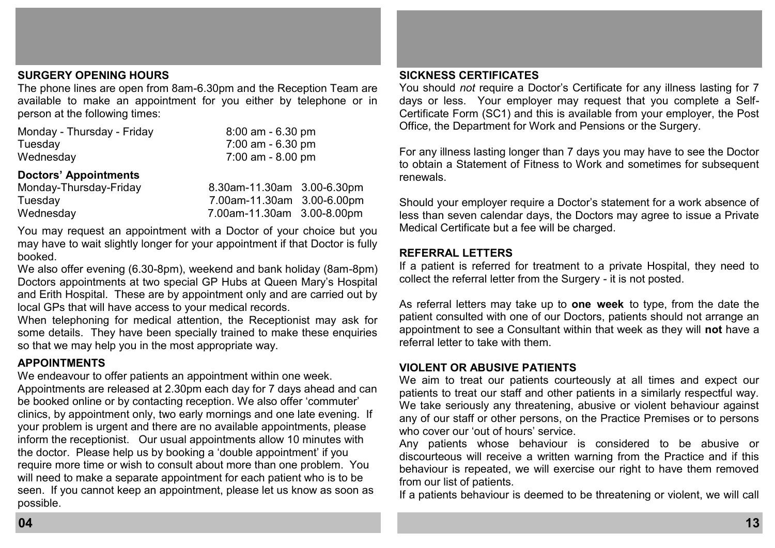## **SURGERY OPENING HOURS**

The phone lines are open from 8am-6.30pm and the Reception Team are available to make an appointment for you either by telephone or in person at the following times:

| Monday - Thursday - Friday | $8:00$ am $-6.30$ pm |
|----------------------------|----------------------|
| Tuesday                    | 7:00 am - 6.30 pm    |
| Wednesday                  | 7:00 am - 8.00 pm    |

## **Doctors' Appointments**

| Monday-Thursday-Friday | 8.30am-11.30am 3.00-6.30pm |  |
|------------------------|----------------------------|--|
| Tuesday                | 7.00am-11.30am 3.00-6.00pm |  |
| Wednesday              | 7.00am-11.30am 3.00-8.00pm |  |

You may request an appointment with a Doctor of your choice but you may have to wait slightly longer for your appointment if that Doctor is fully booked.

We also offer evening (6.30-8pm), weekend and bank holiday (8am-8pm) Doctors appointments at two special GP Hubs at Queen Mary's Hospital and Erith Hospital. These are by appointment only and are carried out by local GPs that will have access to your medical records.

When telephoning for medical attention, the Receptionist may ask for some details. They have been specially trained to make these enquiries so that we may help you in the most appropriate way.

## **APPOINTMENTS**

We endeavour to offer patients an appointment within one week. Appointments are released at 2.30pm each day for 7 days ahead and can be booked online or by contacting reception. We also offer 'commuter' clinics, by appointment only, two early mornings and one late evening. If your problem is urgent and there are no available appointments, please inform the receptionist. Our usual appointments allow 10 minutes with the doctor. Please help us by booking a 'double appointment' if you require more time or wish to consult about more than one problem. You will need to make a separate appointment for each patient who is to be seen. If you cannot keep an appointment, please let us know as soon as possible.

#### **SICKNESS CERTIFICATES**

You should *not* require a Doctor's Certificate for any illness lasting for 7 days or less. Your employer may request that you complete a Self-Certificate Form (SC1) and this is available from your employer, the Post Office, the Department for Work and Pensions or the Surgery.

For any illness lasting longer than 7 days you may have to see the Doctor to obtain a Statement of Fitness to Work and sometimes for subsequent renewals.

Should your employer require a Doctor's statement for a work absence of less than seven calendar days, the Doctors may agree to issue a Private Medical Certificate but a fee will be charged.

## **REFERRAL LETTERS**

If a patient is referred for treatment to a private Hospital, they need to collect the referral letter from the Surgery - it is not posted.

As referral letters may take up to **one week** to type, from the date the patient consulted with one of our Doctors, patients should not arrange an appointment to see a Consultant within that week as they will **not** have a referral letter to take with them.

## **VIOLENT OR ABUSIVE PATIENTS**

We aim to treat our patients courteously at all times and expect our patients to treat our staff and other patients in a similarly respectful way. We take seriously any threatening, abusive or violent behaviour against any of our staff or other persons, on the Practice Premises or to persons who cover our 'out of hours' service.

Any patients whose behaviour is considered to be abusive or discourteous will receive a written warning from the Practice and if this behaviour is repeated, we will exercise our right to have them removed from our list of patients.

If a patients behaviour is deemed to be threatening or violent, we will call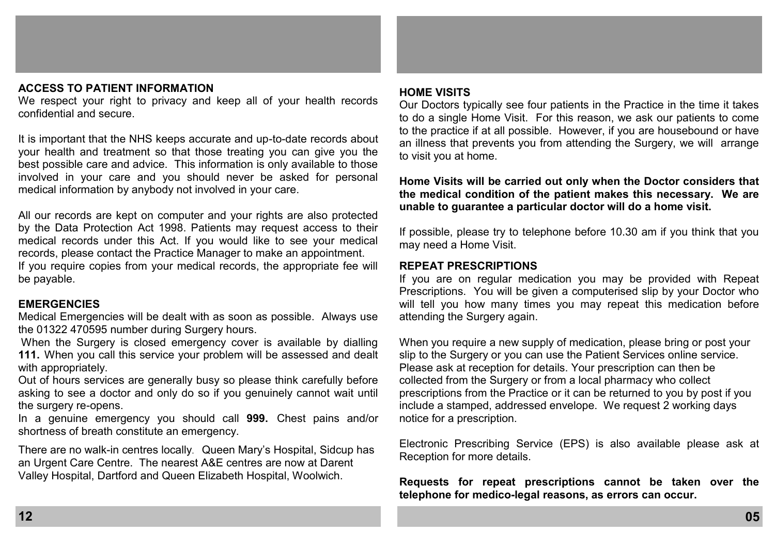## **ACCESS TO PATIENT INFORMATION**

We respect your right to privacy and keep all of your health records confidential and secure.

It is important that the NHS keeps accurate and up-to-date records about your health and treatment so that those treating you can give you the best possible care and advice. This information is only available to those involved in your care and you should never be asked for personal medical information by anybody not involved in your care.

All our records are kept on computer and your rights are also protected by the Data Protection Act 1998. Patients may request access to their medical records under this Act. If you would like to see your medical records, please contact the Practice Manager to make an appointment.

If you require copies from your medical records, the appropriate fee will be payable.

#### **EMERGENCIES**

Medical Emergencies will be dealt with as soon as possible. Always use the 01322 470595 number during Surgery hours.

When the Surgery is closed emergency cover is available by dialling **111.** When you call this service your problem will be assessed and dealt with appropriately.

Out of hours services are generally busy so please think carefully before asking to see a doctor and only do so if you genuinely cannot wait until the surgery re-opens.

In a genuine emergency you should call **999.** Chest pains and/or shortness of breath constitute an emergency.

There are no walk-in centres locally. Queen Mary's Hospital, Sidcup has an Urgent Care Centre. The nearest A&E centres are now at Darent Valley Hospital, Dartford and Queen Elizabeth Hospital, Woolwich.

#### **HOME VISITS**

Our Doctors typically see four patients in the Practice in the time it takes to do a single Home Visit. For this reason, we ask our patients to come to the practice if at all possible. However, if you are housebound or have an illness that prevents you from attending the Surgery, we will arrange to visit you at home.

**Home Visits will be carried out only when the Doctor considers that the medical condition of the patient makes this necessary. We are unable to guarantee a particular doctor will do a home visit.** 

If possible, please try to telephone before 10.30 am if you think that you may need a Home Visit.

#### **REPEAT PRESCRIPTIONS**

If you are on regular medication you may be provided with Repeat Prescriptions. You will be given a computerised slip by your Doctor who will tell you how many times you may repeat this medication before attending the Surgery again.

When you require a new supply of medication, please bring or post your slip to the Surgery or you can use the Patient Services online service. Please ask at reception for details. Your prescription can then be collected from the Surgery or from a local pharmacy who collect prescriptions from the Practice or it can be returned to you by post if you include a stamped, addressed envelope. We request 2 working days notice for a prescription.

Electronic Prescribing Service (EPS) is also available please ask at Reception for more details.

**Requests for repeat prescriptions cannot be taken over the telephone for medico-legal reasons, as errors can occur.**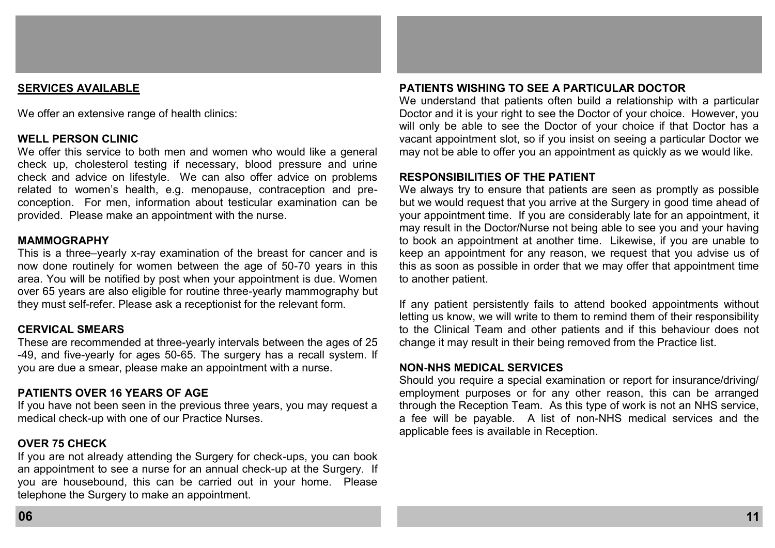#### **SERVICES AVAILABLE**

We offer an extensive range of health clinics:

#### **WELL PERSON CLINIC**

We offer this service to both men and women who would like a general check up, cholesterol testing if necessary, blood pressure and urine check and advice on lifestyle. We can also offer advice on problems related to women's health, e.g. menopause, contraception and preconception. For men, information about testicular examination can be provided. Please make an appointment with the nurse.

#### **MAMMOGRAPHY**

This is a three–yearly x-ray examination of the breast for cancer and is now done routinely for women between the age of 50-70 years in this area. You will be notified by post when your appointment is due. Women over 65 years are also eligible for routine three-yearly mammography but they must self-refer. Please ask a receptionist for the relevant form.

#### **CERVICAL SMEARS**

These are recommended at three-yearly intervals between the ages of 25 -49, and five-yearly for ages 50-65. The surgery has a recall system. If you are due a smear, please make an appointment with a nurse.

## **PATIENTS OVER 16 YEARS OF AGE**

If you have not been seen in the previous three years, you may request a medical check-up with one of our Practice Nurses.

## **OVER 75 CHECK**

If you are not already attending the Surgery for check-ups, you can book an appointment to see a nurse for an annual check-up at the Surgery. If you are housebound, this can be carried out in your home. Please telephone the Surgery to make an appointment.

## **PATIENTS WISHING TO SEE A PARTICULAR DOCTOR**

We understand that patients often build a relationship with a particular Doctor and it is your right to see the Doctor of your choice. However, you will only be able to see the Doctor of your choice if that Doctor has a vacant appointment slot, so if you insist on seeing a particular Doctor we may not be able to offer you an appointment as quickly as we would like.

#### **RESPONSIBILITIES OF THE PATIENT**

We always try to ensure that patients are seen as promptly as possible but we would request that you arrive at the Surgery in good time ahead of your appointment time. If you are considerably late for an appointment, it may result in the Doctor/Nurse not being able to see you and your having to book an appointment at another time. Likewise, if you are unable to keep an appointment for any reason, we request that you advise us of this as soon as possible in order that we may offer that appointment time to another patient.

If any patient persistently fails to attend booked appointments without letting us know, we will write to them to remind them of their responsibility to the Clinical Team and other patients and if this behaviour does not change it may result in their being removed from the Practice list.

#### **NON-NHS MEDICAL SERVICES**

Should you require a special examination or report for insurance/driving/ employment purposes or for any other reason, this can be arranged through the Reception Team. As this type of work is not an NHS service, a fee will be payable. A list of non-NHS medical services and the applicable fees is available in Reception.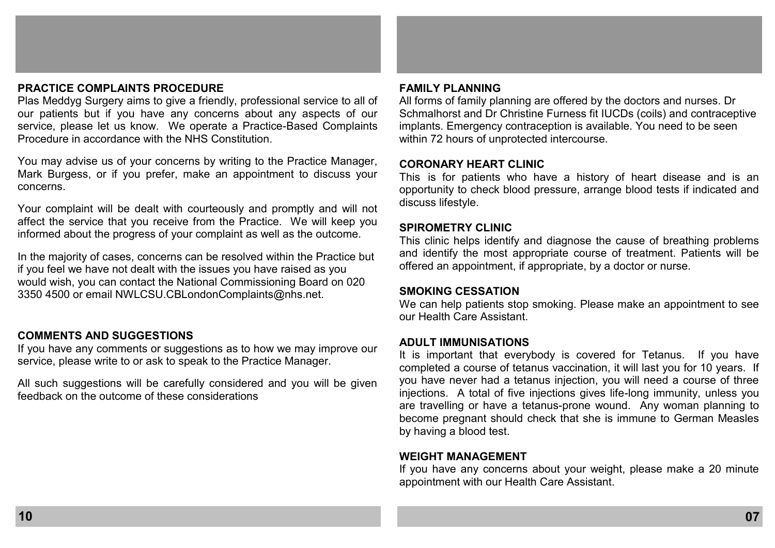## **PRACTICE COMPLAINTS PROCEDURE**

Plas Meddyg Surgery aims to give a friendly, professional service to all of our patients but if you have any concerns about any aspects of our service, please let us know. We operate a Practice-Based Complaints Procedure in accordance with the NHS Constitution.

You may advise us of your concerns by writing to the Practice Manager, Mark Burgess, or if you prefer, make an appointment to discuss your concerns.

Your complaint will be dealt with courteously and promptly and will not affect the service that you receive from the Practice. We will keep you informed about the progress of your complaint as well as the outcome.

In the majority of cases, concerns can be resolved within the Practice but if you feel we have not dealt with the issues you have raised as you would wish, you can contact the National Commissioning Board on 020 3350 4500 or email NWLCSU.CBLondonComplaints@nhs.net.

## **COMMENTS AND SUGGESTIONS**

If you have any comments or suggestions as to how we may improve our service, please write to or ask to speak to the Practice Manager.

All such suggestions will be carefully considered and you will be given feedback on the outcome of these considerations

#### **FAMILY PLANNING**

All forms of family planning are offered by the doctors and nurses. Dr Schmalhorst and Dr Christine Furness fit IUCDs (coils) and contraceptive implants. Emergency contraception is available. You need to be seen within 72 hours of unprotected intercourse.

#### CORONARY HEART CLINIC

This is for patients who have a history of heart disease and is an opportunity to check blood pressure, arrange blood tests if indicated and discuss lifestyle.

#### **SPIROMETRY CLINIC**

This clinic helps identify and diagnose the cause of breathing problems and identify the most appropriate course of treatment. Patients will be offered an appointment, if appropriate, by a doctor or nurse.

#### **SMOKING CESSATION**

We can help patients stop smoking. Please make an appointment to see our Health Care Assistant.

#### **ADULT IMMUNISATIONS**

It is important that everybody is covered for Tetanus. If you have completed a course of tetanus vaccination, it will last you for 10 years. If you have never had a tetanus injection, you will need a course of three injections. A total of five injections gives life-long immunity, unless you are travelling or have a tetanus-prone wound. Any woman planning to become pregnant should check that she is immune to German Measles by having a blood test.

## **WEIGHT MANAGEMENT**

If you have any concerns about your weight, please make a 20 minute appointment with our Health Care Assistant.